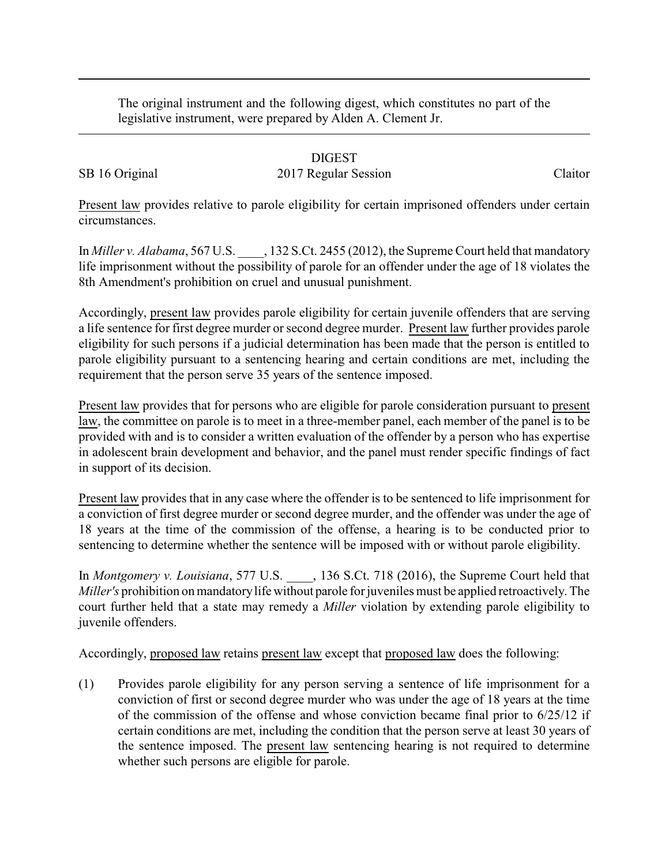The original instrument and the following digest, which constitutes no part of the legislative instrument, were prepared by Alden A. Clement Jr.

## DIGEST

## SB 16 Original 2017 Regular Session Claitor

Present law provides relative to parole eligibility for certain imprisoned offenders under certain circumstances.

In *Miller v. Alabama*, 567 U.S. \_\_\_\_, 132 S.Ct. 2455 (2012), the Supreme Court held that mandatory life imprisonment without the possibility of parole for an offender under the age of 18 violates the 8th Amendment's prohibition on cruel and unusual punishment.

Accordingly, present law provides parole eligibility for certain juvenile offenders that are serving a life sentence for first degree murder or second degree murder. Present law further provides parole eligibility for such persons if a judicial determination has been made that the person is entitled to parole eligibility pursuant to a sentencing hearing and certain conditions are met, including the requirement that the person serve 35 years of the sentence imposed.

Present law provides that for persons who are eligible for parole consideration pursuant to present law, the committee on parole is to meet in a three-member panel, each member of the panel is to be provided with and is to consider a written evaluation of the offender by a person who has expertise in adolescent brain development and behavior, and the panel must render specific findings of fact in support of its decision.

Present law provides that in any case where the offender is to be sentenced to life imprisonment for a conviction of first degree murder or second degree murder, and the offender was under the age of 18 years at the time of the commission of the offense, a hearing is to be conducted prior to sentencing to determine whether the sentence will be imposed with or without parole eligibility.

In *Montgomery v. Louisiana*, 577 U.S. \_\_\_\_, 136 S.Ct. 718 (2016), the Supreme Court held that *Miller's* prohibition on mandatorylife without parole for juveniles must be applied retroactively. The court further held that a state may remedy a *Miller* violation by extending parole eligibility to juvenile offenders.

Accordingly, proposed law retains present law except that proposed law does the following:

(1) Provides parole eligibility for any person serving a sentence of life imprisonment for a conviction of first or second degree murder who was under the age of 18 years at the time of the commission of the offense and whose conviction became final prior to 6/25/12 if certain conditions are met, including the condition that the person serve at least 30 years of the sentence imposed. The present law sentencing hearing is not required to determine whether such persons are eligible for parole.